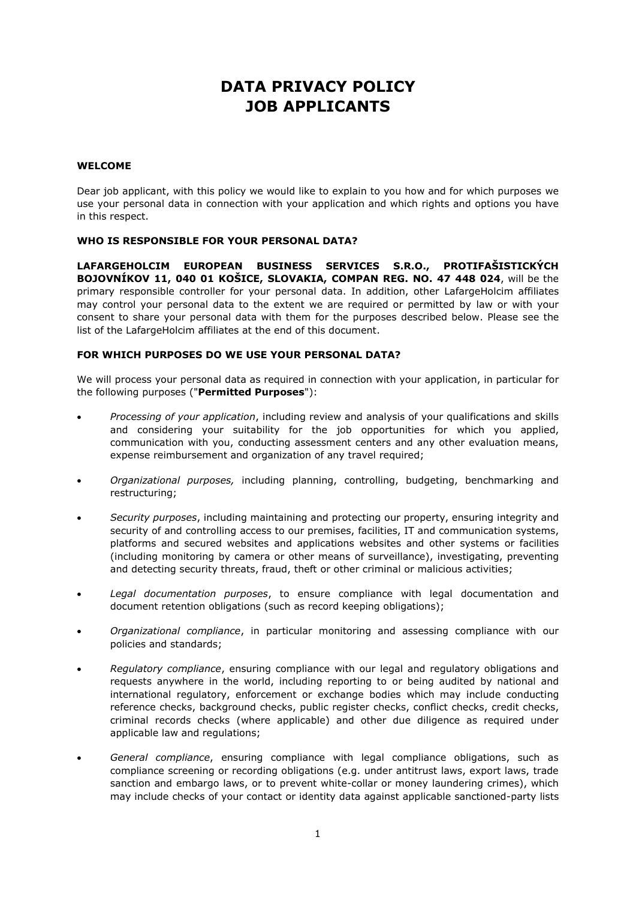# **DATA PRIVACY POLICY JOB APPLICANTS**

#### **WELCOME**

Dear job applicant, with this policy we would like to explain to you how and for which purposes we use your personal data in connection with your application and which rights and options you have in this respect.

## **WHO IS RESPONSIBLE FOR YOUR PERSONAL DATA?**

**LAFARGEHOLCIM EUROPEAN BUSINESS SERVICES S.R.O., PROTIFAŠISTICKÝCH BOJOVNÍKOV 11, 040 01 KOŠICE, SLOVAKIA, COMPAN REG. NO. 47 448 024**, will be the primary responsible controller for your personal data. In addition, other LafargeHolcim affiliates may control your personal data to the extent we are required or permitted by law or with your consent to share your personal data with them for the purposes described below. Please see the list of the LafargeHolcim affiliates at the end of this document.

## **FOR WHICH PURPOSES DO WE USE YOUR PERSONAL DATA?**

We will process your personal data as required in connection with your application, in particular for the following purposes ("**Permitted Purposes**"):

- *Processing of your application*, including review and analysis of your qualifications and skills and considering your suitability for the job opportunities for which you applied, communication with you, conducting assessment centers and any other evaluation means, expense reimbursement and organization of any travel required;
- *Organizational purposes,* including planning, controlling, budgeting, benchmarking and restructuring;
- *Security purposes*, including maintaining and protecting our property, ensuring integrity and security of and controlling access to our premises, facilities, IT and communication systems, platforms and secured websites and applications websites and other systems or facilities (including monitoring by camera or other means of surveillance), investigating, preventing and detecting security threats, fraud, theft or other criminal or malicious activities;
- *Legal documentation purposes*, to ensure compliance with legal documentation and document retention obligations (such as record keeping obligations);
- *Organizational compliance*, in particular monitoring and assessing compliance with our policies and standards;
- *Regulatory compliance*, ensuring compliance with our legal and regulatory obligations and requests anywhere in the world, including reporting to or being audited by national and international regulatory, enforcement or exchange bodies which may include conducting reference checks, background checks, public register checks, conflict checks, credit checks, criminal records checks (where applicable) and other due diligence as required under applicable law and regulations;
- *General compliance*, ensuring compliance with legal compliance obligations, such as compliance screening or recording obligations (e.g. under antitrust laws, export laws, trade sanction and embargo laws, or to prevent white-collar or money laundering crimes), which may include checks of your contact or identity data against applicable sanctioned-party lists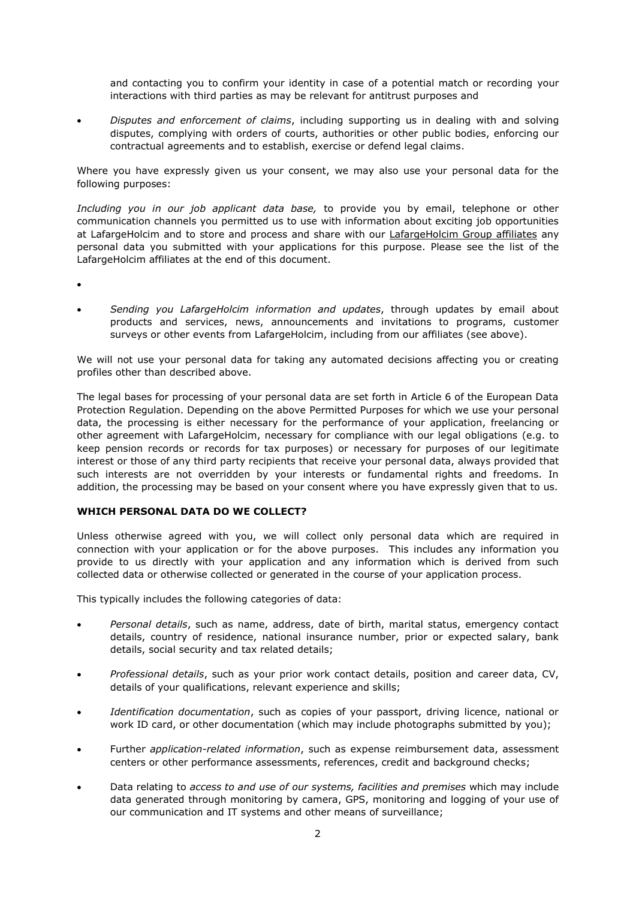and contacting you to confirm your identity in case of a potential match or recording your interactions with third parties as may be relevant for antitrust purposes and

 *Disputes and enforcement of claims*, including supporting us in dealing with and solving disputes, complying with orders of courts, authorities or other public bodies, enforcing our contractual agreements and to establish, exercise or defend legal claims.

Where you have expressly given us your consent, we may also use your personal data for the following purposes:

*Including you in our job applicant data base,* to provide you by email, telephone or other communication channels you permitted us to use with information about exciting job opportunities at LafargeHolcim and to store and process and share with our LafargeHolcim Group affiliates any personal data you submitted with your applications for this purpose. Please see the list of the LafargeHolcim affiliates at the end of this document.

- $\bullet$
- *Sending you LafargeHolcim information and updates*, through updates by email about products and services, news, announcements and invitations to programs, customer surveys or other events from LafargeHolcim, including from our affiliates (see above).

We will not use your personal data for taking any automated decisions affecting you or creating profiles other than described above.

The legal bases for processing of your personal data are set forth in Article 6 of the European Data Protection Regulation. Depending on the above Permitted Purposes for which we use your personal data, the processing is either necessary for the performance of your application, freelancing or other agreement with LafargeHolcim, necessary for compliance with our legal obligations (e.g. to keep pension records or records for tax purposes) or necessary for purposes of our legitimate interest or those of any third party recipients that receive your personal data, always provided that such interests are not overridden by your interests or fundamental rights and freedoms. In addition, the processing may be based on your consent where you have expressly given that to us.

# **WHICH PERSONAL DATA DO WE COLLECT?**

Unless otherwise agreed with you, we will collect only personal data which are required in connection with your application or for the above purposes. This includes any information you provide to us directly with your application and any information which is derived from such collected data or otherwise collected or generated in the course of your application process.

This typically includes the following categories of data:

- *Personal details*, such as name, address, date of birth, marital status, emergency contact details, country of residence, national insurance number, prior or expected salary, bank details, social security and tax related details;
- *Professional details*, such as your prior work contact details, position and career data, CV, details of your qualifications, relevant experience and skills;
- *Identification documentation*, such as copies of your passport, driving licence, national or work ID card, or other documentation (which may include photographs submitted by you);
- Further *application-related information*, such as expense reimbursement data, assessment centers or other performance assessments, references, credit and background checks;
- Data relating to *access to and use of our systems, facilities and premises* which may include data generated through monitoring by camera, GPS, monitoring and logging of your use of our communication and IT systems and other means of surveillance;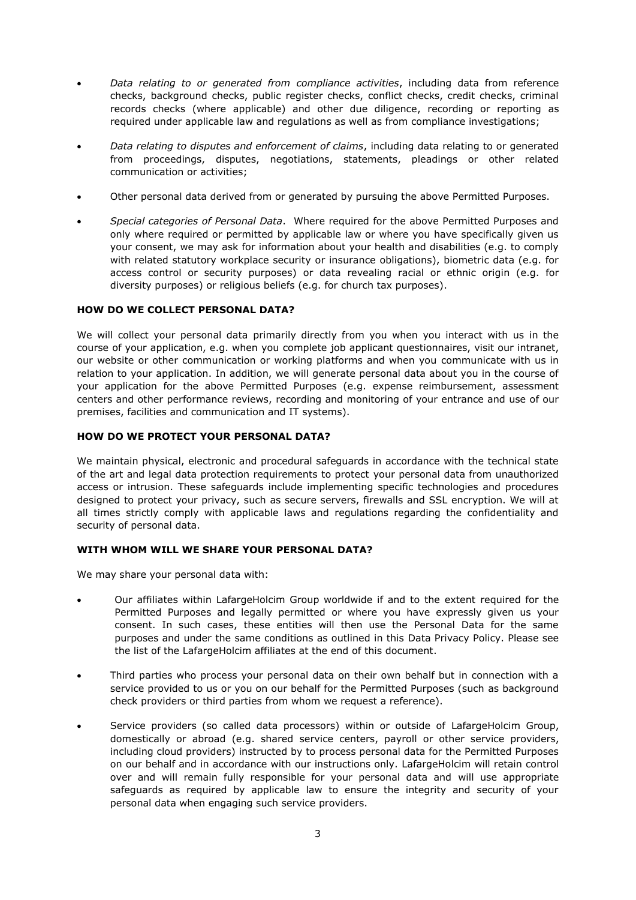- *Data relating to or generated from compliance activities*, including data from reference checks, background checks, public register checks, conflict checks, credit checks, criminal records checks (where applicable) and other due diligence, recording or reporting as required under applicable law and regulations as well as from compliance investigations;
- *Data relating to disputes and enforcement of claims*, including data relating to or generated from proceedings, disputes, negotiations, statements, pleadings or other related communication or activities;
- Other personal data derived from or generated by pursuing the above Permitted Purposes.
- *Special categories of Personal Data*. Where required for the above Permitted Purposes and only where required or permitted by applicable law or where you have specifically given us your consent, we may ask for information about your health and disabilities (e.g. to comply with related statutory workplace security or insurance obligations), biometric data (e.g. for access control or security purposes) or data revealing racial or ethnic origin (e.g. for diversity purposes) or religious beliefs (e.g. for church tax purposes).

#### **HOW DO WE COLLECT PERSONAL DATA?**

We will collect your personal data primarily directly from you when you interact with us in the course of your application, e.g. when you complete job applicant questionnaires, visit our intranet, our website or other communication or working platforms and when you communicate with us in relation to your application. In addition, we will generate personal data about you in the course of your application for the above Permitted Purposes (e.g. expense reimbursement, assessment centers and other performance reviews, recording and monitoring of your entrance and use of our premises, facilities and communication and IT systems).

## **HOW DO WE PROTECT YOUR PERSONAL DATA?**

We maintain physical, electronic and procedural safeguards in accordance with the technical state of the art and legal data protection requirements to protect your personal data from unauthorized access or intrusion. These safeguards include implementing specific technologies and procedures designed to protect your privacy, such as secure servers, firewalls and SSL encryption. We will at all times strictly comply with applicable laws and regulations regarding the confidentiality and security of personal data.

#### **WITH WHOM WILL WE SHARE YOUR PERSONAL DATA?**

We may share your personal data with:

- Our affiliates within LafargeHolcim Group worldwide if and to the extent required for the Permitted Purposes and legally permitted or where you have expressly given us your consent. In such cases, these entities will then use the Personal Data for the same purposes and under the same conditions as outlined in this Data Privacy Policy. Please see the list of the LafargeHolcim affiliates at the end of this document.
- Third parties who process your personal data on their own behalf but in connection with a service provided to us or you on our behalf for the Permitted Purposes (such as background check providers or third parties from whom we request a reference).
- Service providers (so called data processors) within or outside of LafargeHolcim Group, domestically or abroad (e.g. shared service centers, payroll or other service providers, including cloud providers) instructed by to process personal data for the Permitted Purposes on our behalf and in accordance with our instructions only. LafargeHolcim will retain control over and will remain fully responsible for your personal data and will use appropriate safeguards as required by applicable law to ensure the integrity and security of your personal data when engaging such service providers.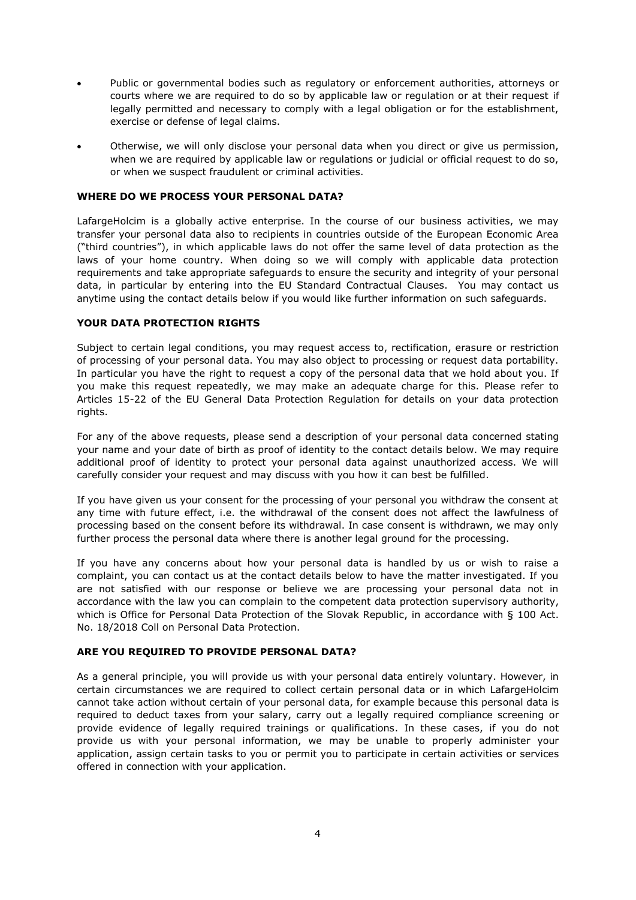- Public or governmental bodies such as regulatory or enforcement authorities, attorneys or courts where we are required to do so by applicable law or regulation or at their request if legally permitted and necessary to comply with a legal obligation or for the establishment, exercise or defense of legal claims.
- Otherwise, we will only disclose your personal data when you direct or give us permission, when we are required by applicable law or regulations or judicial or official request to do so, or when we suspect fraudulent or criminal activities.

#### **WHERE DO WE PROCESS YOUR PERSONAL DATA?**

LafargeHolcim is a globally active enterprise. In the course of our business activities, we may transfer your personal data also to recipients in countries outside of the European Economic Area ("third countries"), in which applicable laws do not offer the same level of data protection as the laws of your home country. When doing so we will comply with applicable data protection requirements and take appropriate safeguards to ensure the security and integrity of your personal data, in particular by entering into the EU Standard Contractual Clauses. You may contact us anytime using the contact details below if you would like further information on such safeguards.

#### **YOUR DATA PROTECTION RIGHTS**

Subject to certain legal conditions, you may request access to, rectification, erasure or restriction of processing of your personal data. You may also object to processing or request data portability. In particular you have the right to request a copy of the personal data that we hold about you. If you make this request repeatedly, we may make an adequate charge for this. Please refer to Articles 15-22 of the EU General Data Protection Regulation for details on your data protection rights.

For any of the above requests, please send a description of your personal data concerned stating your name and your date of birth as proof of identity to the contact details below. We may require additional proof of identity to protect your personal data against unauthorized access. We will carefully consider your request and may discuss with you how it can best be fulfilled.

If you have given us your consent for the processing of your personal you withdraw the consent at any time with future effect, i.e. the withdrawal of the consent does not affect the lawfulness of processing based on the consent before its withdrawal. In case consent is withdrawn, we may only further process the personal data where there is another legal ground for the processing.

If you have any concerns about how your personal data is handled by us or wish to raise a complaint, you can contact us at the contact details below to have the matter investigated. If you are not satisfied with our response or believe we are processing your personal data not in accordance with the law you can complain to the competent data protection supervisory authority, which is Office for Personal Data Protection of the Slovak Republic, in accordance with § 100 Act. No. 18/2018 Coll on Personal Data Protection.

# **ARE YOU REQUIRED TO PROVIDE PERSONAL DATA?**

As a general principle, you will provide us with your personal data entirely voluntary. However, in certain circumstances we are required to collect certain personal data or in which LafargeHolcim cannot take action without certain of your personal data, for example because this personal data is required to deduct taxes from your salary, carry out a legally required compliance screening or provide evidence of legally required trainings or qualifications. In these cases, if you do not provide us with your personal information, we may be unable to properly administer your application, assign certain tasks to you or permit you to participate in certain activities or services offered in connection with your application.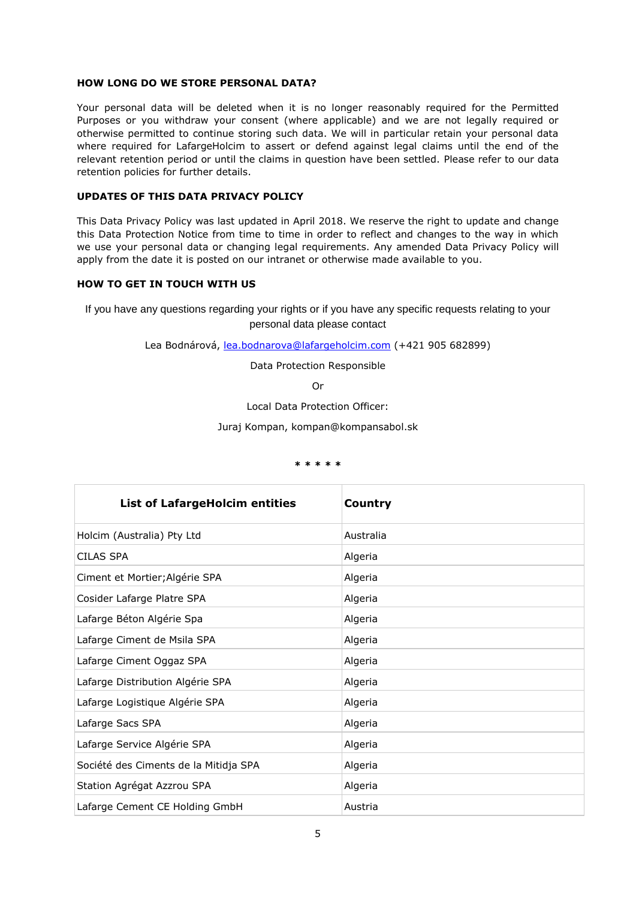#### **HOW LONG DO WE STORE PERSONAL DATA?**

Your personal data will be deleted when it is no longer reasonably required for the Permitted Purposes or you withdraw your consent (where applicable) and we are not legally required or otherwise permitted to continue storing such data. We will in particular retain your personal data where required for LafargeHolcim to assert or defend against legal claims until the end of the relevant retention period or until the claims in question have been settled. Please refer to our data retention policies for further details.

# **UPDATES OF THIS DATA PRIVACY POLICY**

This Data Privacy Policy was last updated in April 2018. We reserve the right to update and change this Data Protection Notice from time to time in order to reflect and changes to the way in which we use your personal data or changing legal requirements. Any amended Data Privacy Policy will apply from the date it is posted on our intranet or otherwise made available to you.

#### **HOW TO GET IN TOUCH WITH US**

If you have any questions regarding your rights or if you have any specific requests relating to your personal data please contact

Lea Bodnárová, [lea.bodnarova@lafargeholcim.com](mailto:lea.bodnarova@lafargeholcim.com) (+421 905 682899)

Data Protection Responsible

Or

Local Data Protection Officer:

Juraj Kompan, kompan@kompansabol.sk

#### **\* \* \* \* \***

| <b>List of LafargeHolcim entities</b> | Country   |
|---------------------------------------|-----------|
| Holcim (Australia) Pty Ltd            | Australia |
| CILAS SPA                             | Algeria   |
| Ciment et Mortier; Algérie SPA        | Algeria   |
| Cosider Lafarge Platre SPA            | Algeria   |
| Lafarge Béton Algérie Spa             | Algeria   |
| Lafarge Ciment de Msila SPA           | Algeria   |
| Lafarge Ciment Oggaz SPA              | Algeria   |
| Lafarge Distribution Algérie SPA      | Algeria   |
| Lafarge Logistique Algérie SPA        | Algeria   |
| Lafarge Sacs SPA                      | Algeria   |
| Lafarge Service Algérie SPA           | Algeria   |
| Société des Ciments de la Mitidja SPA | Algeria   |
| Station Agrégat Azzrou SPA            | Algeria   |
| Lafarge Cement CE Holding GmbH        | Austria   |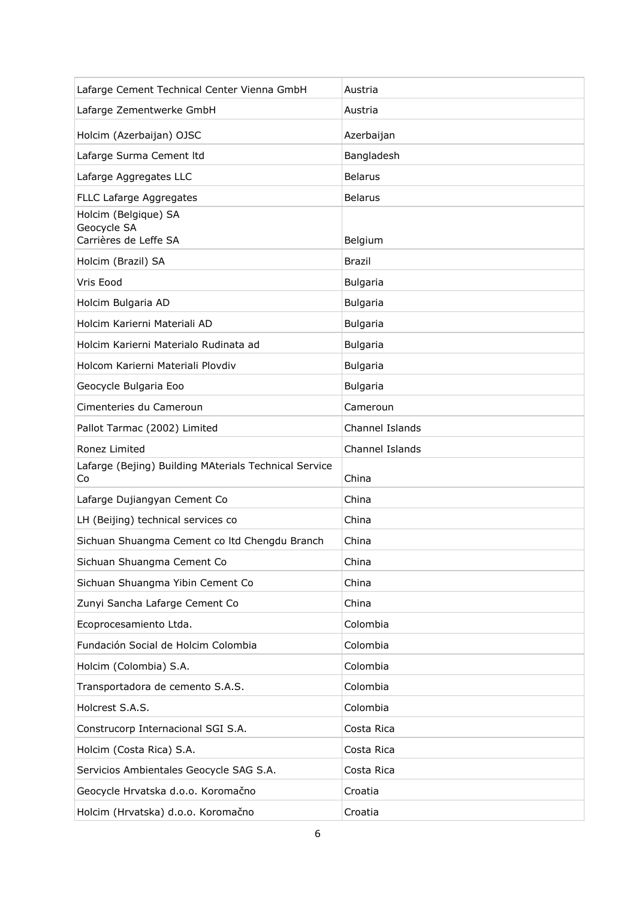| Lafarge Cement Technical Center Vienna GmbH                  | Austria         |
|--------------------------------------------------------------|-----------------|
| Lafarge Zementwerke GmbH                                     | Austria         |
| Holcim (Azerbaijan) OJSC                                     | Azerbaijan      |
| Lafarge Surma Cement Itd                                     | Bangladesh      |
| Lafarge Aggregates LLC                                       | <b>Belarus</b>  |
| FLLC Lafarge Aggregates                                      | <b>Belarus</b>  |
| Holcim (Belgique) SA<br>Geocycle SA<br>Carrières de Leffe SA | Belgium         |
| Holcim (Brazil) SA                                           | <b>Brazil</b>   |
| Vris Eood                                                    | <b>Bulgaria</b> |
| Holcim Bulgaria AD                                           | <b>Bulgaria</b> |
| Holcim Karierni Materiali AD                                 | <b>Bulgaria</b> |
| Holcim Karierni Materialo Rudinata ad                        | <b>Bulgaria</b> |
| Holcom Karierni Materiali Plovdiv                            | <b>Bulgaria</b> |
| Geocycle Bulgaria Eoo                                        | <b>Bulgaria</b> |
| Cimenteries du Cameroun                                      | Cameroun        |
| Pallot Tarmac (2002) Limited                                 | Channel Islands |
| Ronez Limited                                                | Channel Islands |
|                                                              |                 |
| Lafarge (Bejing) Building MAterials Technical Service<br>Co  | China           |
| Lafarge Dujiangyan Cement Co                                 | China           |
| LH (Beijing) technical services co                           | China           |
| Sichuan Shuangma Cement co Itd Chengdu Branch                | China           |
| Sichuan Shuangma Cement Co                                   | China           |
| Sichuan Shuangma Yibin Cement Co                             | China           |
| Zunyi Sancha Lafarge Cement Co                               | China           |
| Ecoprocesamiento Ltda.                                       | Colombia        |
| Fundación Social de Holcim Colombia                          | Colombia        |
| Holcim (Colombia) S.A.                                       | Colombia        |
| Transportadora de cemento S.A.S.                             | Colombia        |
| Holcrest S.A.S.                                              | Colombia        |
| Construcorp Internacional SGI S.A.                           | Costa Rica      |
| Holcim (Costa Rica) S.A.                                     | Costa Rica      |
| Servicios Ambientales Geocycle SAG S.A.                      | Costa Rica      |
| Geocycle Hrvatska d.o.o. Koromačno                           | Croatia         |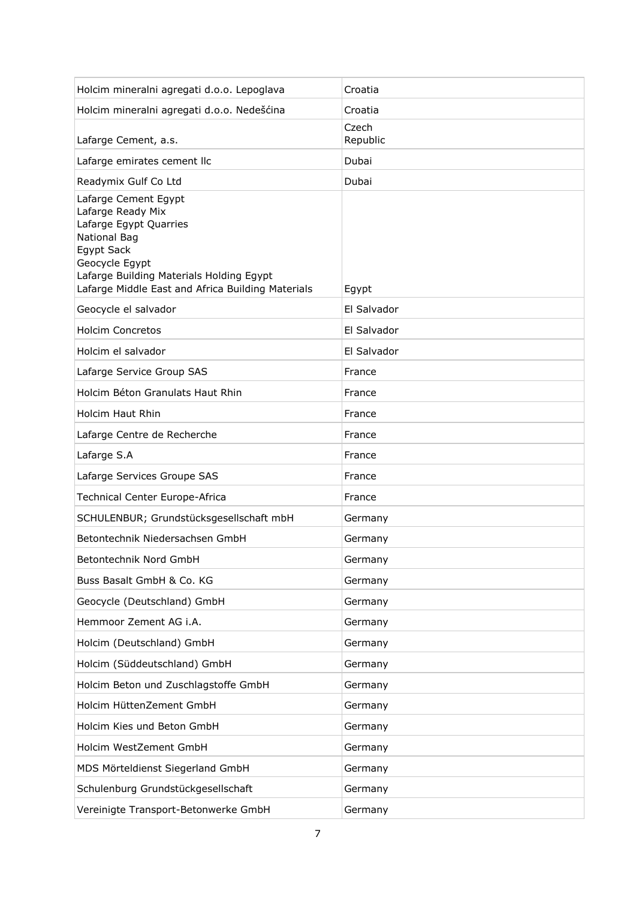| Holcim mineralni agregati d.o.o. Lepoglava                                                                                                                                                                                  | Croatia           |
|-----------------------------------------------------------------------------------------------------------------------------------------------------------------------------------------------------------------------------|-------------------|
| Holcim mineralni agregati d.o.o. Nedešćina                                                                                                                                                                                  | Croatia           |
| Lafarge Cement, a.s.                                                                                                                                                                                                        | Czech<br>Republic |
| Lafarge emirates cement llc                                                                                                                                                                                                 | Dubai             |
| Readymix Gulf Co Ltd                                                                                                                                                                                                        | Dubai             |
| Lafarge Cement Egypt<br>Lafarge Ready Mix<br>Lafarge Egypt Quarries<br><b>National Bag</b><br>Egypt Sack<br>Geocycle Egypt<br>Lafarge Building Materials Holding Egypt<br>Lafarge Middle East and Africa Building Materials | Egypt             |
| Geocycle el salvador                                                                                                                                                                                                        | El Salvador       |
| <b>Holcim Concretos</b>                                                                                                                                                                                                     | El Salvador       |
| Holcim el salvador                                                                                                                                                                                                          | El Salvador       |
| Lafarge Service Group SAS                                                                                                                                                                                                   | France            |
| Holcim Béton Granulats Haut Rhin                                                                                                                                                                                            | France            |
| Holcim Haut Rhin                                                                                                                                                                                                            | France            |
| Lafarge Centre de Recherche                                                                                                                                                                                                 | France            |
|                                                                                                                                                                                                                             |                   |
| Lafarge S.A                                                                                                                                                                                                                 | France            |
| Lafarge Services Groupe SAS                                                                                                                                                                                                 | France            |
| Technical Center Europe-Africa                                                                                                                                                                                              | France            |
| SCHULENBUR; Grundstücksgesellschaft mbH                                                                                                                                                                                     | Germany           |
| Betontechnik Niedersachsen GmbH                                                                                                                                                                                             | Germany           |
| Betontechnik Nord GmbH                                                                                                                                                                                                      | Germany           |
| Buss Basalt GmbH & Co. KG                                                                                                                                                                                                   | Germany           |
| Geocycle (Deutschland) GmbH                                                                                                                                                                                                 | Germany           |
| Hemmoor Zement AG i.A.                                                                                                                                                                                                      | Germany           |
| Holcim (Deutschland) GmbH                                                                                                                                                                                                   | Germany           |
| Holcim (Süddeutschland) GmbH                                                                                                                                                                                                | Germany           |
| Holcim Beton und Zuschlagstoffe GmbH                                                                                                                                                                                        | Germany           |
| Holcim HüttenZement GmbH                                                                                                                                                                                                    | Germany           |
| Holcim Kies und Beton GmbH                                                                                                                                                                                                  | Germany           |
| Holcim WestZement GmbH                                                                                                                                                                                                      | Germany           |
| MDS Mörteldienst Siegerland GmbH                                                                                                                                                                                            | Germany           |
| Schulenburg Grundstückgesellschaft                                                                                                                                                                                          | Germany           |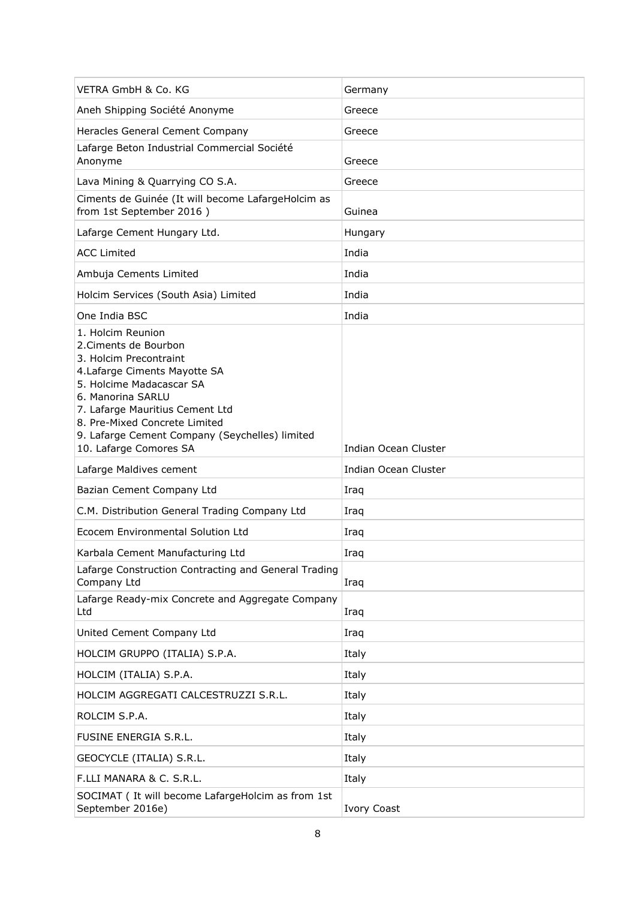| VETRA GmbH & Co. KG                                                                                                                                                                                                                                                                                    | Germany              |
|--------------------------------------------------------------------------------------------------------------------------------------------------------------------------------------------------------------------------------------------------------------------------------------------------------|----------------------|
| Aneh Shipping Société Anonyme                                                                                                                                                                                                                                                                          | Greece               |
| Heracles General Cement Company                                                                                                                                                                                                                                                                        | Greece               |
| Lafarge Beton Industrial Commercial Société<br>Anonyme                                                                                                                                                                                                                                                 | Greece               |
| Lava Mining & Quarrying CO S.A.                                                                                                                                                                                                                                                                        | Greece               |
| Ciments de Guinée (It will become LafargeHolcim as<br>from 1st September 2016)                                                                                                                                                                                                                         | Guinea               |
| Lafarge Cement Hungary Ltd.                                                                                                                                                                                                                                                                            | Hungary              |
| <b>ACC Limited</b>                                                                                                                                                                                                                                                                                     | India                |
| Ambuja Cements Limited                                                                                                                                                                                                                                                                                 | India                |
| Holcim Services (South Asia) Limited                                                                                                                                                                                                                                                                   | India                |
| One India BSC                                                                                                                                                                                                                                                                                          | India                |
| 1. Holcim Reunion<br>2. Ciments de Bourbon<br>3. Holcim Precontraint<br>4. Lafarge Ciments Mayotte SA<br>5. Holcime Madacascar SA<br>6. Manorina SARLU<br>7. Lafarge Mauritius Cement Ltd<br>8. Pre-Mixed Concrete Limited<br>9. Lafarge Cement Company (Seychelles) limited<br>10. Lafarge Comores SA | Indian Ocean Cluster |
| Lafarge Maldives cement                                                                                                                                                                                                                                                                                | Indian Ocean Cluster |
| Bazian Cement Company Ltd                                                                                                                                                                                                                                                                              | Iraq                 |
| C.M. Distribution General Trading Company Ltd                                                                                                                                                                                                                                                          |                      |
|                                                                                                                                                                                                                                                                                                        | Iraq                 |
| Ecocem Environmental Solution Ltd                                                                                                                                                                                                                                                                      | Iraq                 |
| Karbala Cement Manufacturing Ltd                                                                                                                                                                                                                                                                       | Iraq                 |
| Lafarge Construction Contracting and General Trading<br>Company Ltd                                                                                                                                                                                                                                    | Iraq                 |
| Lafarge Ready-mix Concrete and Aggregate Company<br>Ltd                                                                                                                                                                                                                                                | Iraq                 |
| United Cement Company Ltd                                                                                                                                                                                                                                                                              | Iraq                 |
| HOLCIM GRUPPO (ITALIA) S.P.A.                                                                                                                                                                                                                                                                          | Italy                |
| HOLCIM (ITALIA) S.P.A.                                                                                                                                                                                                                                                                                 | Italy                |
| HOLCIM AGGREGATI CALCESTRUZZI S.R.L.                                                                                                                                                                                                                                                                   | Italy                |
| ROLCIM S.P.A.                                                                                                                                                                                                                                                                                          | Italy                |
| FUSINE ENERGIA S.R.L.                                                                                                                                                                                                                                                                                  | Italy                |
| GEOCYCLE (ITALIA) S.R.L.                                                                                                                                                                                                                                                                               | Italy                |
| F.LLI MANARA & C. S.R.L.                                                                                                                                                                                                                                                                               | Italy                |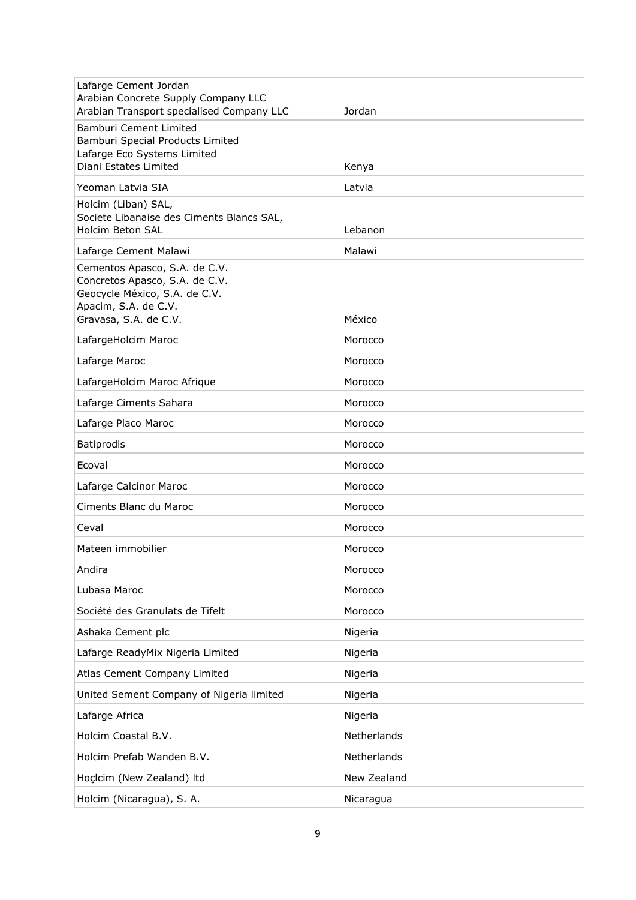| Lafarge Cement Jordan<br>Arabian Concrete Supply Company LLC<br>Arabian Transport specialised Company LLC                                         | Jordan      |
|---------------------------------------------------------------------------------------------------------------------------------------------------|-------------|
| Bamburi Cement Limited<br>Bamburi Special Products Limited<br>Lafarge Eco Systems Limited<br>Diani Estates Limited                                | Kenya       |
| Yeoman Latvia SIA                                                                                                                                 | Latvia      |
| Holcim (Liban) SAL,<br>Societe Libanaise des Ciments Blancs SAL,<br><b>Holcim Beton SAL</b>                                                       | Lebanon     |
| Lafarge Cement Malawi                                                                                                                             | Malawi      |
| Cementos Apasco, S.A. de C.V.<br>Concretos Apasco, S.A. de C.V.<br>Geocycle México, S.A. de C.V.<br>Apacim, S.A. de C.V.<br>Gravasa, S.A. de C.V. | México      |
| LafargeHolcim Maroc                                                                                                                               | Morocco     |
| Lafarge Maroc                                                                                                                                     | Morocco     |
| LafargeHolcim Maroc Afrique                                                                                                                       | Morocco     |
| Lafarge Ciments Sahara                                                                                                                            | Morocco     |
| Lafarge Placo Maroc                                                                                                                               | Morocco     |
| Batiprodis                                                                                                                                        | Morocco     |
| Ecoval                                                                                                                                            | Morocco     |
| Lafarge Calcinor Maroc                                                                                                                            | Morocco     |
| Ciments Blanc du Maroc                                                                                                                            | Morocco     |
| Ceval                                                                                                                                             | Morocco     |
| Mateen immobilier                                                                                                                                 | Morocco     |
| Andira                                                                                                                                            | Morocco     |
| Lubasa Maroc                                                                                                                                      | Morocco     |
| Société des Granulats de Tifelt                                                                                                                   | Morocco     |
| Ashaka Cement plc                                                                                                                                 | Nigeria     |
| Lafarge ReadyMix Nigeria Limited                                                                                                                  | Nigeria     |
| Atlas Cement Company Limited                                                                                                                      | Nigeria     |
| United Sement Company of Nigeria limited                                                                                                          | Nigeria     |
| Lafarge Africa                                                                                                                                    | Nigeria     |
| Holcim Coastal B.V.                                                                                                                               | Netherlands |
| Holcim Prefab Wanden B.V.                                                                                                                         | Netherlands |
| Hoçlcim (New Zealand) Itd                                                                                                                         | New Zealand |
| Holcim (Nicaragua), S. A.                                                                                                                         | Nicaragua   |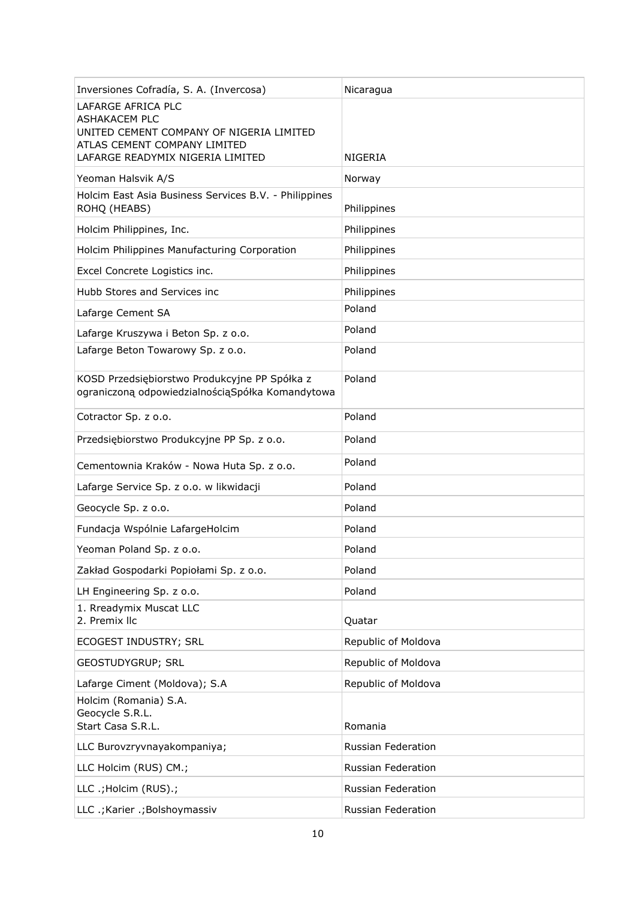| Inversiones Cofradía, S. A. (Invercosa)                                                                                                                    | Nicaragua           |
|------------------------------------------------------------------------------------------------------------------------------------------------------------|---------------------|
| LAFARGE AFRICA PLC<br><b>ASHAKACEM PLC</b><br>UNITED CEMENT COMPANY OF NIGERIA LIMITED<br>ATLAS CEMENT COMPANY LIMITED<br>LAFARGE READYMIX NIGERIA LIMITED | NIGERIA             |
| Yeoman Halsvik A/S                                                                                                                                         | Norway              |
| Holcim East Asia Business Services B.V. - Philippines<br>ROHQ (HEABS)                                                                                      | Philippines         |
| Holcim Philippines, Inc.                                                                                                                                   | Philippines         |
| Holcim Philippines Manufacturing Corporation                                                                                                               | Philippines         |
| Excel Concrete Logistics inc.                                                                                                                              | Philippines         |
| Hubb Stores and Services inc                                                                                                                               | Philippines         |
| Lafarge Cement SA                                                                                                                                          | Poland              |
| Lafarge Kruszywa i Beton Sp. z o.o.                                                                                                                        | Poland              |
| Lafarge Beton Towarowy Sp. z o.o.                                                                                                                          | Poland              |
| KOSD Przedsiębiorstwo Produkcyjne PP Spółka z<br>ograniczoną odpowiedzialnością Spółka Komandytowa                                                         | Poland              |
| Cotractor Sp. z o.o.                                                                                                                                       | Poland              |
| Przedsiębiorstwo Produkcyjne PP Sp. z o.o.                                                                                                                 | Poland              |
| Cementownia Kraków - Nowa Huta Sp. z o.o.                                                                                                                  | Poland              |
| Lafarge Service Sp. z o.o. w likwidacji                                                                                                                    | Poland              |
| Geocycle Sp. z o.o.                                                                                                                                        | Poland              |
| Fundacja Wspólnie LafargeHolcim                                                                                                                            | Poland              |
| Yeoman Poland Sp. z o.o.                                                                                                                                   | Poland              |
| Zakład Gospodarki Popiołami Sp. z o.o.                                                                                                                     | Poland              |
| LH Engineering Sp. z o.o.                                                                                                                                  | Poland              |
| 1. Rreadymix Muscat LLC<br>2. Premix IIc                                                                                                                   | Quatar              |
| ECOGEST INDUSTRY; SRL                                                                                                                                      | Republic of Moldova |
| GEOSTUDYGRUP; SRL                                                                                                                                          | Republic of Moldova |
| Lafarge Ciment (Moldova); S.A                                                                                                                              | Republic of Moldova |
| Holcim (Romania) S.A.<br>Geocycle S.R.L.<br>Start Casa S.R.L.                                                                                              | Romania             |
| LLC Burovzryvnayakompaniya;                                                                                                                                | Russian Federation  |
| LLC Holcim (RUS) CM.;                                                                                                                                      | Russian Federation  |
| LLC .; Holcim (RUS).;                                                                                                                                      | Russian Federation  |
| LLC .; Karier .; Bolshoymassiv                                                                                                                             | Russian Federation  |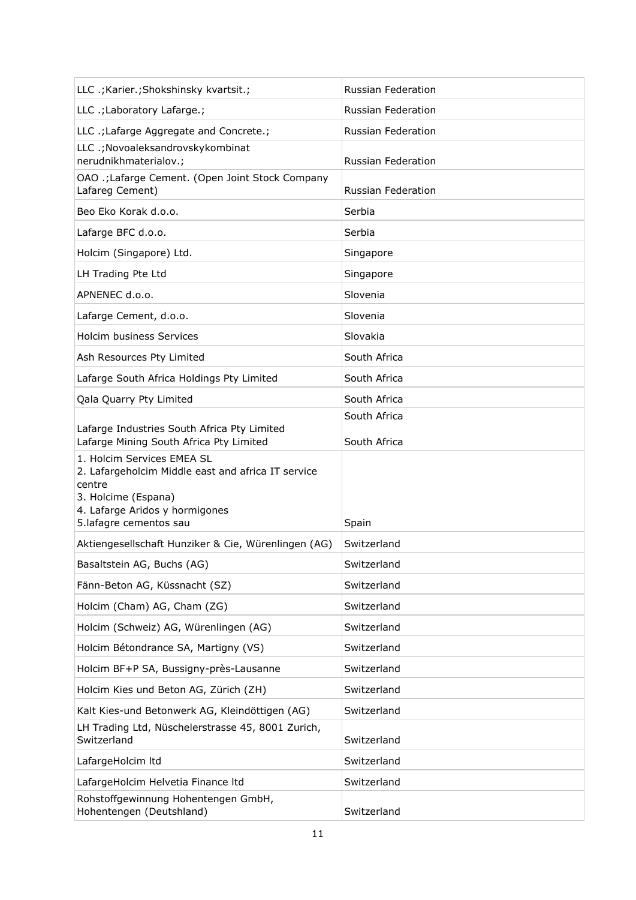| LLC .; Karier.; Shokshinsky kvartsit.;                                                                                                                                        | Russian Federation           |
|-------------------------------------------------------------------------------------------------------------------------------------------------------------------------------|------------------------------|
| LLC .; Laboratory Lafarge.;                                                                                                                                                   | <b>Russian Federation</b>    |
| LLC .; Lafarge Aggregate and Concrete.;                                                                                                                                       | <b>Russian Federation</b>    |
| LLC .; Novoaleksandrovskykombinat<br>nerudnikhmaterialov.;                                                                                                                    | <b>Russian Federation</b>    |
| OAO .; Lafarge Cement. (Open Joint Stock Company<br>Lafareg Cement)                                                                                                           | <b>Russian Federation</b>    |
| Beo Eko Korak d.o.o.                                                                                                                                                          | Serbia                       |
| Lafarge BFC d.o.o.                                                                                                                                                            | Serbia                       |
| Holcim (Singapore) Ltd.                                                                                                                                                       | Singapore                    |
| LH Trading Pte Ltd                                                                                                                                                            | Singapore                    |
| APNENEC d.o.o.                                                                                                                                                                | Slovenia                     |
| Lafarge Cement, d.o.o.                                                                                                                                                        | Slovenia                     |
| <b>Holcim business Services</b>                                                                                                                                               | Slovakia                     |
| Ash Resources Pty Limited                                                                                                                                                     | South Africa                 |
| Lafarge South Africa Holdings Pty Limited                                                                                                                                     | South Africa                 |
| Qala Quarry Pty Limited                                                                                                                                                       | South Africa                 |
| Lafarge Industries South Africa Pty Limited<br>Lafarge Mining South Africa Pty Limited                                                                                        | South Africa<br>South Africa |
| 1. Holcim Services EMEA SL<br>2. Lafargeholcim Middle east and africa IT service<br>centre<br>3. Holcime (Espana)<br>4. Lafarge Aridos y hormigones<br>5.lafagre cementos sau | Spain                        |
| Aktiengesellschaft Hunziker & Cie, Würenlingen (AG)                                                                                                                           | Switzerland                  |
| Basaltstein AG, Buchs (AG)                                                                                                                                                    | Switzerland                  |
| Fänn-Beton AG, Küssnacht (SZ)                                                                                                                                                 | Switzerland                  |
| Holcim (Cham) AG, Cham (ZG)                                                                                                                                                   | Switzerland                  |
| Holcim (Schweiz) AG, Würenlingen (AG)                                                                                                                                         | Switzerland                  |
| Holcim Bétondrance SA, Martigny (VS)                                                                                                                                          | Switzerland                  |
| Holcim BF+P SA, Bussigny-près-Lausanne                                                                                                                                        | Switzerland                  |
| Holcim Kies und Beton AG, Zürich (ZH)                                                                                                                                         | Switzerland                  |
| Kalt Kies-und Betonwerk AG, Kleindöttigen (AG)                                                                                                                                | Switzerland                  |
| LH Trading Ltd, Nüschelerstrasse 45, 8001 Zurich,<br>Switzerland                                                                                                              | Switzerland                  |
| LafargeHolcim Itd                                                                                                                                                             | Switzerland                  |
| LafargeHolcim Helvetia Finance Itd                                                                                                                                            | Switzerland                  |
| Rohstoffgewinnung Hohentengen GmbH,<br>Hohentengen (Deutshland)                                                                                                               | Switzerland                  |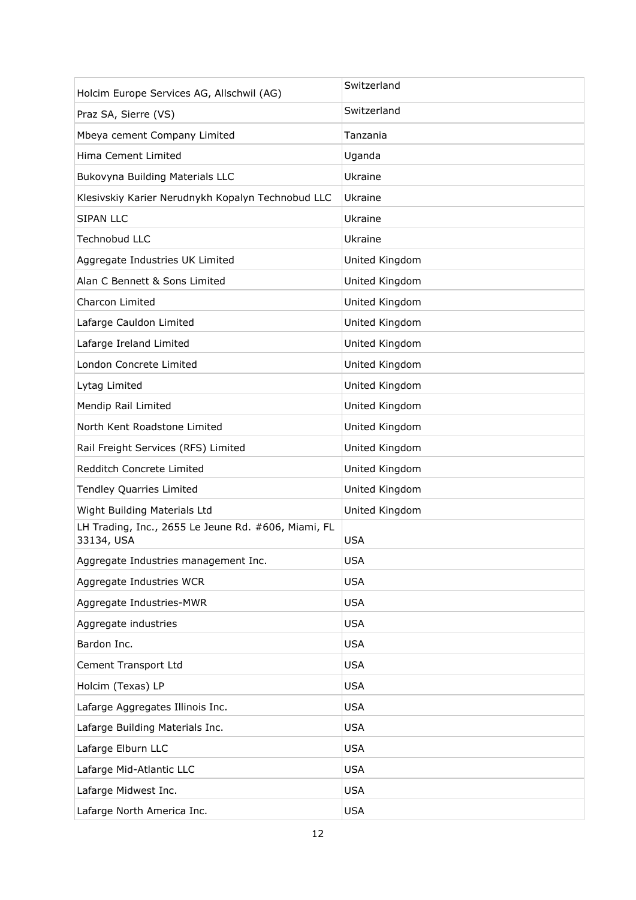| Holcim Europe Services AG, Allschwil (AG)                         | Switzerland    |
|-------------------------------------------------------------------|----------------|
| Praz SA, Sierre (VS)                                              | Switzerland    |
| Mbeya cement Company Limited                                      | Tanzania       |
| Hima Cement Limited                                               | Uganda         |
| Bukovyna Building Materials LLC                                   | Ukraine        |
| Klesivskiy Karier Nerudnykh Kopalyn Technobud LLC                 | Ukraine        |
| <b>SIPAN LLC</b>                                                  | Ukraine        |
| <b>Technobud LLC</b>                                              | Ukraine        |
| Aggregate Industries UK Limited                                   | United Kingdom |
| Alan C Bennett & Sons Limited                                     | United Kingdom |
| Charcon Limited                                                   | United Kingdom |
| Lafarge Cauldon Limited                                           | United Kingdom |
| Lafarge Ireland Limited                                           | United Kingdom |
| London Concrete Limited                                           | United Kingdom |
| Lytag Limited                                                     | United Kingdom |
| Mendip Rail Limited                                               | United Kingdom |
| North Kent Roadstone Limited                                      | United Kingdom |
| Rail Freight Services (RFS) Limited                               | United Kingdom |
| Redditch Concrete Limited                                         | United Kingdom |
| <b>Tendley Quarries Limited</b>                                   | United Kingdom |
| Wight Building Materials Ltd                                      | United Kingdom |
| LH Trading, Inc., 2655 Le Jeune Rd. #606, Miami, FL<br>33134, USA | <b>USA</b>     |
| Aggregate Industries management Inc.                              | <b>USA</b>     |
| Aggregate Industries WCR                                          | <b>USA</b>     |
| Aggregate Industries-MWR                                          | <b>USA</b>     |
| Aggregate industries                                              | <b>USA</b>     |
| Bardon Inc.                                                       | <b>USA</b>     |
| Cement Transport Ltd                                              | <b>USA</b>     |
| Holcim (Texas) LP                                                 | <b>USA</b>     |
| Lafarge Aggregates Illinois Inc.                                  | <b>USA</b>     |
| Lafarge Building Materials Inc.                                   | <b>USA</b>     |
| Lafarge Elburn LLC                                                | <b>USA</b>     |
| Lafarge Mid-Atlantic LLC                                          | <b>USA</b>     |
| Lafarge Midwest Inc.                                              | <b>USA</b>     |
| Lafarge North America Inc.                                        | <b>USA</b>     |